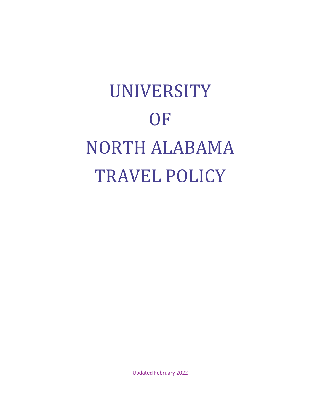# UNIVERSITY OF NORTH ALABAMA TRAVEL POLICY

Updated February 2022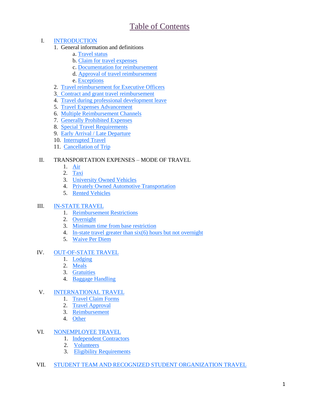# Table of Contents

#### I. [INTRODUCTION](#page-2-0)

- 1. General information and definitions
	- a. [Travel status](#page-2-1)
	- b. [Claim for travel expenses](#page-2-2)
	- c. [Documentation for reimbursement](#page-3-0)
	- d. [Approval of travel reimbursement](#page-3-1)
	- e. [Exceptions](#page-3-2)
- 2. [Travel reimbursement for Executive Officers](#page-3-3)
- [3. Contract and grant travel reimbursement](#page-3-4)
- 4. [Travel during professional development leave](#page-4-0)
- 5. [Travel Expenses Advancement](#page-4-1)
- 6. [Multiple Reimbursement Channels](#page-4-2)
- 7. [Generally Prohibited Expenses](#page-4-3)
- 8. [Special Travel Requirements](#page-4-4)
- 9. [Early Arrival / Late Departure](#page-4-5)
- 10. [Interrupted Travel](#page-5-0)
- 11. [Cancellation of Trip](#page-5-1)

#### II. TRANSPORTATION EXPENSES – MODE OF TRAVEL

- 1. [Air](#page-5-2)
- 2. [Taxi](#page-5-3)
- 3. [University Owned Vehicles](#page-5-4)
- 4. [Privately Owned Automotive Transportation](#page-5-5)
- 5. [Rented Vehicles](#page-6-0)

#### III. [IN-STATE TRAVEL](#page-7-0)

- 1. [Reimbursement Restrictions](#page-7-1)
- 2. [Overnight](#page-7-2)
- 3. [Minimum time from base restriction](#page-7-3)
- 4. In-state travel greater than  $six(6)$  hours but not overnight
- 5. [Waive Per Diem](#page-7-5)

#### IV. [OUT-OF-STATE TRAVEL](#page-8-0)

- 1. [Lodging](#page-8-1)
- 2. [Meals](#page-8-2)
- 3. [Gratuities](#page-8-3)
- 4. [Baggage Handling](#page-8-4)

#### V. [INTERNATIONAL TRAVEL](#page-9-0)

- 1. [Travel Claim Forms](#page-9-1)
- 2. [Travel Approval](#page-9-2)
- 3. [Reimbursement](#page-9-3)
- 4. [Other](#page-9-4)

#### VI. [NONEMPLOYEE TRAVEL](#page-10-0)

- 1. [Independent Contractors](#page-10-1)
- 2. [Volunteers](#page-10-2)
- 3. [Eligibility Requirements](#page-10-3)
- VII. [STUDENT TEAM AND RECOGNIZED STUDENT ORGANIZATION TRAVEL](#page-10-4)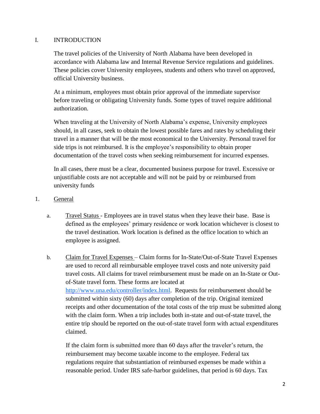## <span id="page-2-0"></span>I. INTRODUCTION

The travel policies of the University of North Alabama have been developed in accordance with Alabama law and Internal Revenue Service regulations and guidelines. These policies cover University employees, students and others who travel on approved, official University business.

At a minimum, employees must obtain prior approval of the immediate supervisor before traveling or obligating University funds. Some types of travel require additional authorization.

When traveling at the University of North Alabama's expense, University employees should, in all cases, seek to obtain the lowest possible fares and rates by scheduling their travel in a manner that will be the most economical to the University. Personal travel for side trips is not reimbursed. It is the employee's responsibility to obtain proper documentation of the travel costs when seeking reimbursement for incurred expenses.

In all cases, there must be a clear, documented business purpose for travel. Excessive or unjustifiable costs are not acceptable and will not be paid by or reimbursed from university funds

#### 1. General

- <span id="page-2-1"></span>a. Travel Status - Employees are in travel status when they leave their base. Base is defined as the employees' primary residence or work location whichever is closest to the travel destination. Work location is defined as the office location to which an employee is assigned.
- <span id="page-2-2"></span>b. Claim for Travel Expenses – Claim forms for In-State/Out-of-State Travel Expenses are used to record all reimbursable employee travel costs and note university paid travel costs. All claims for travel reimbursement must be made on an In-State or Outof-State travel form. These forms are located at [http://www.una.edu/controller/index.html.](http://www.una.edu/controller/index.html) Requests for reimbursement should be submitted within sixty (60) days after completion of the trip. Original itemized receipts and other documentation of the total costs of the trip must be submitted along with the claim form. When a trip includes both in-state and out-of-state travel, the entire trip should be reported on the out-of-state travel form with actual expenditures claimed.

If the claim form is submitted more than 60 days after the traveler's return, the reimbursement may become taxable income to the employee. Federal tax regulations require that substantiation of reimbursed expenses be made within a reasonable period. Under IRS safe-harbor guidelines, that period is 60 days. Tax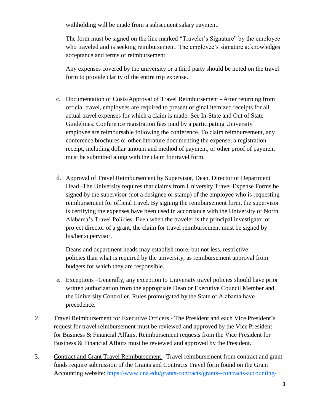withholding will be made from a subsequent salary payment.

The form must be signed on the line marked "Traveler's Signature" by the employee who traveled and is seeking reimbursement. The employee's signature acknowledges acceptance and terms of reimbursement.

Any expenses covered by the university or a third party should be noted on the travel form to provide clarity of the entire trip expense.

- <span id="page-3-0"></span>c. Documentation of Costs/Approval of Travel Reimbursement - After returning from official travel, employees are required to present original itemized receipts for all actual travel expenses for which a claim is made. See In-State and Out of State Guidelines. Conference registration fees paid by a participating University employee are reimbursable following the conference. To claim reimbursement, any conference brochures or other literature documenting the expense, a registration receipt, including dollar amount and method of payment, or other proof of payment must be submitted along with the claim for travel form.
- <span id="page-3-1"></span>d. Approval of Travel Reimbursement by Supervisor, Dean, Director or Department Head -The University requires that claims from University Travel Expense Forms be signed by the supervisor (not a designee or stamp) of the employee who is requesting reimbursement for official travel. By signing the reimbursement form, the supervisor is certifying the expenses have been used in accordance with the University of North Alabama's Travel Policies. Even when the traveler is the principal investigator or project director of a grant, the claim for travel reimbursement must be signed by his/her supervisor.

Deans and department heads may establish more, but not less, restrictive policies than what is required by the university, as reimbursement approval from budgets for which they are responsible.

- <span id="page-3-2"></span>e. Exceptions –Generally, any exception to University travel policies should have prior written authorization from the appropriate Dean or Executive Council Member and the University Controller. Rules promulgated by the State of Alabama have precedence.
- <span id="page-3-3"></span>2. Travel Reimbursement for Executive Officers - The President and each Vice President's request for travel reimbursement must be reviewed and approved by the Vice President for Business & Financial Affairs. Reimbursement requests from the Vice President for Business & Financial Affairs must be reviewed and approved by the President.
- <span id="page-3-4"></span>3. Contract and Grant Travel Reimbursement - Travel reimbursement from contract and grant funds require submission of the Grants and Contracts Travel form found on the Grant Accounting website: [https://www.una.edu/grants-contracts/grants--contracts-accounting-](https://www.una.edu/grants-contracts/grants--contracts-accounting-forms.html)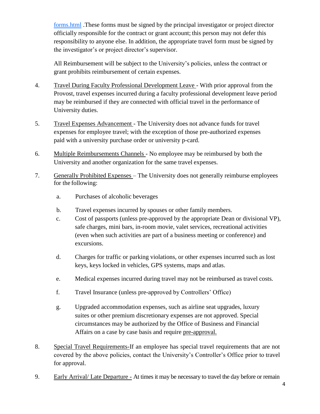[forms.html](https://www.una.edu/grants-contracts/grants--contracts-accounting-forms.html) .These forms must be signed by the principal investigator or project director officially responsible for the contract or grant account; this person may not defer this responsibility to anyone else. In addition, the appropriate travel form must be signed by the investigator's or project director's supervisor.

All Reimbursement will be subject to the University's policies, unless the contract or grant prohibits reimbursement of certain expenses.

- <span id="page-4-0"></span>4. Travel During Faculty Professional Development Leave - With prior approval from the Provost, travel expenses incurred during a faculty professional development leave period may be reimbursed if they are connected with official travel in the performance of University duties.
- <span id="page-4-1"></span>5. Travel Expenses Advancement - The University does not advance funds for travel expenses for employee travel; with the exception of those pre-authorized expenses paid with a university purchase order or university p-card.
- <span id="page-4-2"></span>6. Multiple Reimbursements Channels - No employee may be reimbursed by both the University and another organization for the same travel expenses.
- <span id="page-4-3"></span>7. Generally Prohibited Expenses – The University does not generally reimburse employees for the following:
	- a. Purchases of alcoholic beverages
	- b. Travel expenses incurred by spouses or other family members.
	- c. Cost of passports (unless pre-approved by the appropriate Dean or divisional VP), safe charges, mini bars, in-room movie, valet services, recreational activities (even when such activities are part of a business meeting or conference) and excursions.
	- d. Charges for traffic or parking violations, or other expenses incurred such as lost keys, keys locked in vehicles, GPS systems, maps and atlas.
	- e. Medical expenses incurred during travel may not be reimbursed as travel costs.
	- f. Travel Insurance (unless pre-approved by Controllers' Office)
	- g. Upgraded accommodation expenses, such as airline seat upgrades, luxury suites or other premium discretionary expenses are not approved. Special circumstances may be authorized by the Office of Business and Financial Affairs on a case by case basis and require pre-approval.
- <span id="page-4-4"></span>8. Special Travel Requirements-If an employee has special travel requirements that are not covered by the above policies, contact the University's Controller's Office prior to travel for approval.
- <span id="page-4-5"></span>9. Early Arrival/ Late Departure - At times it may be necessary to travel the day before or remain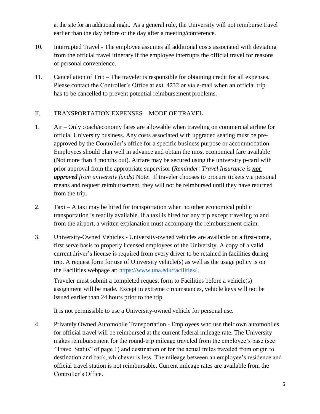at the site for an additional night. As a general rule, the University will not reimburse travel earlier than the day before or the day after a meeting/conference.

- <span id="page-5-0"></span>10. Interrupted Travel - The employee assumes all additional costs associated with deviating from the official travel itinerary if the employee interrupts the official travel for reasons of personal convenience.
- <span id="page-5-1"></span>11. Cancellation of Trip – The traveler is responsible for obtaining credit for all expenses. Please contact the Controller's Office at ext. 4232 or via e-mail when an official trip has to be cancelled to prevent potential reimbursement problems.

# II. TRANSPORTATION EXPENSES – MODE OF TRAVEL

- <span id="page-5-2"></span>1. Air – Only coach/economy fares are allowable when traveling on commercial airline for official University business. Any costs associated with upgraded seating must be preapproved by the Controller's office for a specific business purpose or accommodation. Employees should plan well in advance and obtain the most economical fare available (Not more than 4 months out). Airfare may be secured using the university p-card with prior approval from the appropriate supervisor (*Reminder: Travel Insurance is not approved from university funds)* Note: If traveler chooses to procure tickets via personal means and request reimbursement, they will not be reimbursed until they have returned from the trip.
- <span id="page-5-3"></span>2.  $Taxi - A taxi$  may be hired for transportation when no other economical public transportation is readily available. If a taxi is hired for any trip except traveling to and from the airport, a written explanation must accompany the reimbursement claim.
- <span id="page-5-4"></span>3. University-Owned Vehicles - University-owned vehicles are available on a first-come, first serve basis to properly licensed employees of the University. A copy of a valid current driver's license is required from every driver to be retained in facilities during trip. A request form for use of University vehicle(s) as well as the usage policy is on the Facilities webpage at:<https://www.una.edu/facilities/> .

Traveler must submit a completed request form to Facilities before a vehicle(s) assignment will be made. Except in extreme circumstances, vehicle keys will not be issued earlier than 24 hours prior to the trip.

It is not permissible to use a University-owned vehicle for personal use.

<span id="page-5-5"></span>4. Privately Owned Automobile Transportation - Employees who use their own automobiles for official travel will be reimbursed at the current federal mileage rate. The University makes reimbursement for the round-trip mileage traveled from the employee's base (see "Travel Status" of page 1) and destination or for the actual miles traveled from origin to destination and back, whichever is less. The mileage between an employee's residence and official travel station is not reimbursable. Current mileage rates are available from the Controller's Office.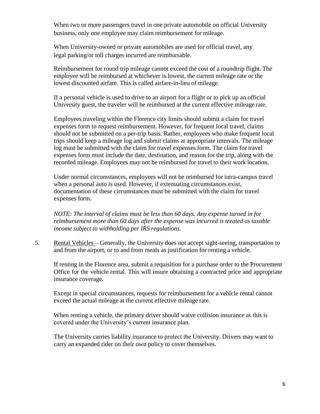When two or more passengers travel in one private automobile on official University business, only one employee may claim reimbursement for mileage.

When University-owned or private automobiles are used for official travel, any legal parking/or toll charges incurred are reimbursable.

Reimbursement for round trip mileage cannot exceed the cost of a roundtrip flight. The employee will be reimbursed at whichever is lowest, the current mileage rate or the lowest discounted airfare. This is called airfare-in-lieu of mileage.

If a personal vehicle is used to drive to an airport for a flight or to pick up an official University guest, the traveler will be reimbursed at the current effective mileage rate.

Employees traveling within the Florence city limits should submit a claim for travel expenses form to request reimbursement. However, for frequent local travel, claims should not be submitted on a per-trip basis. Rather, employees who make frequent local trips should keep a mileage log and submit claims at appropriate intervals. The mileage log must be submitted with the claim for travel expenses form. The claim for travel expenses form must include the date, destination, and reason for the trip, along with the recorded mileage. Employees may not be reimbursed for travel to their work location.

Under normal circumstances, employees will not be reimbursed for intra-campus travel when a personal auto is used. However, if extenuating circumstances exist, documentation of these circumstances must be submitted with the claim for travel expenses form.

*NOTE: The interval of claims must be less than 60 days. Any expense turned in for reimbursement more than 60 days after the expense was incurred is treated as taxable income subject to withholding per IRS regulations.*

<span id="page-6-0"></span>5. Rental Vehicles – Generally, the University does not accept sight-seeing, transportation to and from the airport, or to and from meals as justification for renting a vehicle.

If renting in the Florence area, submit a requisition for a purchase order to the Procurement Office for the vehicle rental. This will insure obtaining a contracted price and appropriate insurance coverage.

Except in special circumstances, requests for reimbursement for a vehicle rental cannot exceed the actual mileage at the current effective mileage rate.

When renting a vehicle, the primary driver should waive collision insurance as this is covered under the University's current insurance plan.

The University carries liability insurance to protect the University. Drivers may want to carry an expanded rider on their own policy to cover themselves.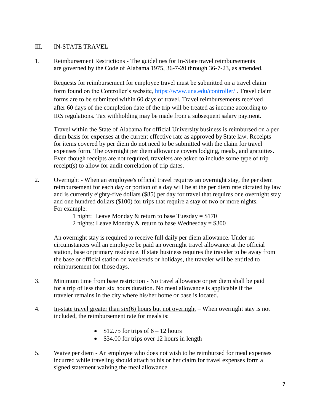#### <span id="page-7-0"></span>III. IN-STATE TRAVEL

<span id="page-7-1"></span>1. Reimbursement Restrictions - The guidelines for In-State travel reimbursements are governed by the Code of Alabama 1975, 36-7-20 through 36-7-23, as amended.

Requests for reimbursement for employee travel must be submitted on a travel claim form found on the Controller's website,<https://www.una.edu/controller/> . Travel claim forms are to be submitted within 60 days of travel. Travel reimbursements received after 60 days of the completion date of the trip will be treated as income according to IRS regulations. Tax withholding may be made from a subsequent salary payment.

Travel within the State of Alabama for official University business is reimbursed on a per diem basis for expenses at the current effective rate as approved by State law. Receipts for items covered by per diem do not need to be submitted with the claim for travel expenses form. The overnight per diem allowance covers lodging, meals, and gratuities. Even though receipts are not required, travelers are asked to include some type of trip receipt(s) to allow for audit correlation of trip dates.

<span id="page-7-2"></span>2. Overnight - When an employee's official travel requires an overnight stay, the per diem reimbursement for each day or portion of a day will be at the per diem rate dictated by law and is currently eighty-five dollars (\$85) per day for travel that requires one overnight stay and one hundred dollars (\$100) for trips that require a stay of two or more nights. For example:

> 1 night: Leave Monday & return to base Tuesday =  $$170$ 2 nights: Leave Monday  $&$  return to base Wednesday = \$300

An overnight stay is required to receive full daily per diem allowance. Under no circumstances will an employee be paid an overnight travel allowance at the official station, base or primary residence. If state business requires the traveler to be away from the base or official station on weekends or holidays, the traveler will be entitled to reimbursement for those days.

- <span id="page-7-3"></span>3. Minimum time from base restriction - No travel allowance or per diem shall be paid for a trip of less than six hours duration. No meal allowance is applicable if the traveler remains in the city where his/her home or base is located.
- <span id="page-7-4"></span>4. In-state travel greater than  $six(6)$  hours but not overnight – When overnight stay is not included, the reimbursement rate for meals is:
	- $$12.75$  for trips of  $6 12$  hours
	- \$34.00 for trips over 12 hours in length
- <span id="page-7-5"></span>5. Waive per diem - An employee who does not wish to be reimbursed for meal expenses incurred while traveling should attach to his or her claim for travel expenses form a signed statement waiving the meal allowance.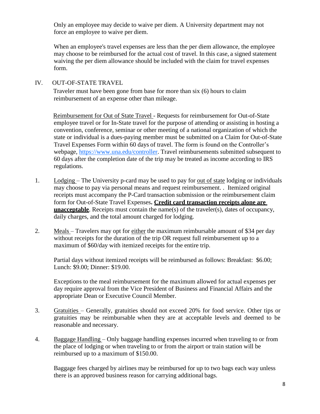Only an employee may decide to waive per diem. A University department may not force an employee to waive per diem.

When an employee's travel expenses are less than the per diem allowance, the employee may choose to be reimbursed for the actual cost of travel. In this case, a signed statement waiving the per diem allowance should be included with the claim for travel expenses form.

#### <span id="page-8-0"></span>IV. OUT-OF-STATE TRAVEL

Traveler must have been gone from base for more than six (6) hours to claim reimbursement of an expense other than mileage.

Reimbursement for Out of State Travel - Requests for reimbursement for Out-of-State employee travel or for In-State travel for the purpose of attending or assisting in hosting a convention, conference, seminar or other meeting of a national organization of which the state or individual is a dues-paying member must be submitted on a Claim for Out-of-State Travel Expenses Form within 60 days of travel. The form is found on the Controller's webpage, [https://www.una.edu/controller.](https://www.una.edu/controller) Travel reimbursements submitted subsequent to 60 days after the completion date of the trip may be treated as income according to IRS regulations.

- <span id="page-8-1"></span>1. Lodging – The University p-card may be used to pay for <u>out of state lodging</u> or individuals may choose to pay via personal means and request reimbursement. . Itemized original receipts must accompany the P-Card transaction submission or the reimbursement claim form for Out-of-State Travel Expenses**. Credit card transaction receipts alone are unacceptable**. Receipts must contain the name(s) of the traveler(s), dates of occupancy, daily charges, and the total amount charged for lodging.
- <span id="page-8-2"></span>2. Meals – Travelers may opt for either the maximum reimbursable amount of \$34 per day without receipts for the duration of the trip OR request full reimbursement up to a maximum of \$60/day with itemized receipts for the entire trip.

Partial days without itemized receipts will be reimbursed as follows: Breakfast: \$6.00; Lunch: \$9.00; Dinner: \$19.00.

Exceptions to the meal reimbursement for the maximum allowed for actual expenses per day require approval from the Vice President of Business and Financial Affairs and the appropriate Dean or Executive Council Member.

- <span id="page-8-3"></span>3. Gratuities – Generally, gratuities should not exceed 20% for food service. Other tips or gratuities may be reimbursable when they are at acceptable levels and deemed to be reasonable and necessary.
- <span id="page-8-4"></span>4. Baggage Handling – Only baggage handling expenses incurred when traveling to or from the place of lodging or when traveling to or from the airport or train station will be reimbursed up to a maximum of \$150.00.

Baggage fees charged by airlines may be reimbursed for up to two bags each way unless there is an approved business reason for carrying additional bags.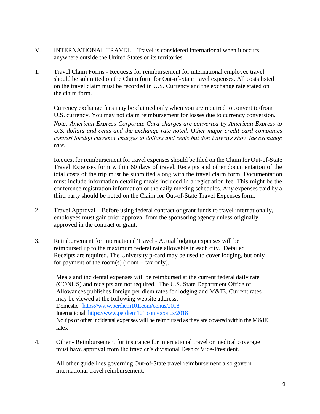- <span id="page-9-0"></span>V. INTERNATIONAL TRAVEL – Travel is considered international when it occurs anywhere outside the United States or its territories.
- <span id="page-9-1"></span>1. Travel Claim Forms - Requests for reimbursement for international employee travel should be submitted on the Claim form for Out-of-State travel expenses. All costs listed on the travel claim must be recorded in U.S. Currency and the exchange rate stated on the claim form.

Currency exchange fees may be claimed only when you are required to convert to/from U.S. currency. You may not claim reimbursement for losses due to currency conversion.

*Note: American Express Corporate Card charges are converted by American Express to U.S. dollars and cents and the exchange rate noted. Other major credit card companies convert foreign currency charges to dollars and cents but don't always show the exchange rate.*

Request for reimbursement for travel expenses should be filed on the Claim for Out-of-State Travel Expenses form within 60 days of travel. Receipts and other documentation of the total costs of the trip must be submitted along with the travel claim form. Documentation must include information detailing meals included in a registration fee. This might be the conference registration information or the daily meeting schedules. Any expenses paid by a third party should be noted on the Claim for Out-of-State Travel Expenses form.

- <span id="page-9-2"></span>2. Travel Approval – Before using federal contract or grant funds to travel internationally, employees must gain prior approval from the sponsoring agency unless originally approved in the contract or grant.
- <span id="page-9-3"></span>3. Reimbursement for International Travel - Actual lodging expenses will be reimbursed up to the maximum federal rate allowable in each city. Detailed Receipts are required. The University p-card may be used to cover lodging, but only for payment of the room(s) (room  $+$  tax only).

Meals and incidental expenses will be reimbursed at the current federal daily rate (CONUS) and receipts are not required. The U.S. State Department Office of Allowances publishes foreign per diem rates for lodging and M&IE. Current rates may be viewed at the following website address: Domestic: <https://www.perdiem101.com/conus/2018> International[: https://www.perdiem101.com/oconus/2018](https://www.perdiem101.com/oconus/2018) No tips or other incidental expenses will be reimbursed as they are covered within the M&IE rates.

<span id="page-9-4"></span>4. Other - Reimbursement for insurance for international travel or medical coverage must have approval from the traveler's divisional Dean or Vice-President.

All other guidelines governing Out-of-State travel reimbursement also govern international travel reimbursement.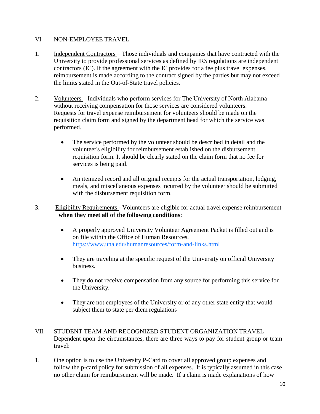## <span id="page-10-0"></span>VI. NON-EMPLOYEE TRAVEL

- <span id="page-10-1"></span>1. Independent Contractors – Those individuals and companies that have contracted with the University to provide professional services as defined by IRS regulations are independent contractors (IC). If the agreement with the IC provides for a fee plus travel expenses, reimbursement is made according to the contract signed by the parties but may not exceed the limits stated in the Out-of-State travel policies.
- <span id="page-10-2"></span>2. Volunteers – Individuals who perform services for The University of North Alabama without receiving compensation for those services are considered volunteers. Requests for travel expense reimbursement for volunteers should be made on the requisition claim form and signed by the department head for which the service was performed.
	- The service performed by the volunteer should be described in detail and the volunteer's eligibility for reimbursement established on the disbursement requisition form. It should be clearly stated on the claim form that no fee for services is being paid.
	- An itemized record and all original receipts for the actual transportation, lodging, meals, and miscellaneous expenses incurred by the volunteer should be submitted with the disbursement requisition form.
- <span id="page-10-3"></span>3. Eligibility Requirements - Volunteers are eligible for actual travel expense reimbursement **when they meet all of the following conditions**:
	- A properly approved University Volunteer Agreement Packet is filled out and is on file within the Office of Human Resources. <https://www.una.edu/humanresources/form-and-links.html>
	- They are traveling at the specific request of the University on official University business.
	- They do not receive compensation from any source for performing this service for the University.
	- They are not employees of the University or of any other state entity that would subject them to state per diem regulations
- <span id="page-10-4"></span>VII. STUDENT TEAM AND RECOGNIZED STUDENT ORGANIZATION TRAVEL Dependent upon the circumstances, there are three ways to pay for student group or team travel:
- 1. One option is to use the University P-Card to cover all approved group expenses and follow the p-card policy for submission of all expenses. It is typically assumed in this case no other claim for reimbursement will be made. If a claim is made explanations of how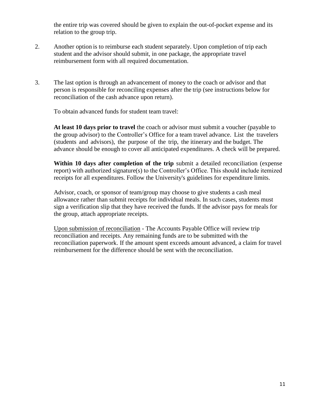the entire trip was covered should be given to explain the out-of-pocket expense and its relation to the group trip.

- 2. Another option is to reimburse each student separately. Upon completion of trip each student and the advisor should submit, in one package, the appropriate travel reimbursement form with all required documentation.
- 3. The last option is through an advancement of money to the coach or advisor and that person is responsible for reconciling expenses after the trip (see instructions below for reconciliation of the cash advance upon return).

To obtain advanced funds for student team travel:

**At least 10 days prior to travel** the coach or advisor must submit a voucher (payable to the group advisor) to the Controller's Office for a team travel advance. List the travelers (students and advisors), the purpose of the trip, the itinerary and the budget. The advance should be enough to cover all anticipated expenditures. A check will be prepared.

Within 10 days after completion of the trip submit a detailed reconciliation (expense report) with authorized signature(s) to the Controller's Office. This should include itemized receipts for all expenditures. Follow the University's guidelines for expenditure limits.

Advisor, coach, or sponsor of team/group may choose to give students a cash meal allowance rather than submit receipts for individual meals. In such cases, students must sign a verification slip that they have received the funds. If the advisor pays for meals for the group, attach appropriate receipts.

Upon submission of reconciliation - The Accounts Payable Office will review trip reconciliation and receipts. Any remaining funds are to be submitted with the reconciliation paperwork. If the amount spent exceeds amount advanced, a claim for travel reimbursement for the difference should be sent with the reconciliation.